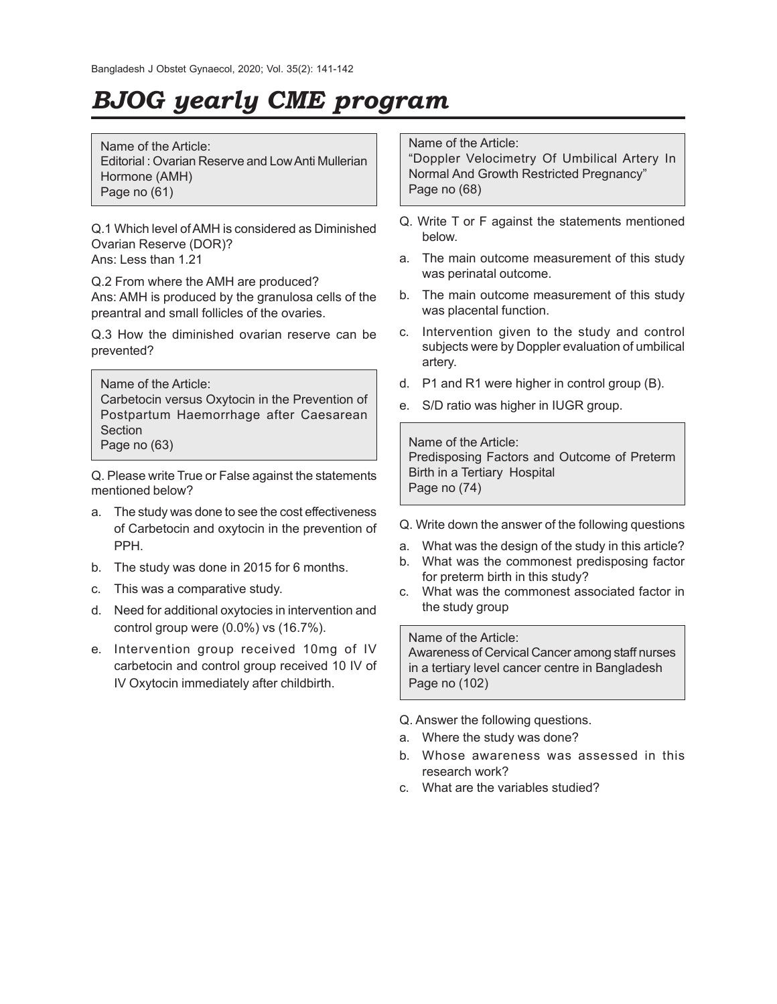## *BJOG yearly CME program*

Name of the Article: Editorial : Ovarian Reserve and Low Anti Mullerian Hormone (AMH) Page no (61)

Q.1 Which level of AMH is considered as Diminished Ovarian Reserve (DOR)? Ans: Less than 1.21

Q.2 From where the AMH are produced? Ans: AMH is produced by the granulosa cells of the preantral and small follicles of the ovaries.

Q.3 How the diminished ovarian reserve can be prevented?

Name of the Article: Carbetocin versus Oxytocin in the Prevention of Postpartum Haemorrhage after Caesarean **Section** Page no (63)

Q. Please write True or False against the statements mentioned below?

- a. The study was done to see the cost effectiveness of Carbetocin and oxytocin in the prevention of PPH.
- b. The study was done in 2015 for 6 months.
- c. This was a comparative study.
- d. Need for additional oxytocies in intervention and control group were (0.0%) vs (16.7%).
- e. Intervention group received 10mg of IV carbetocin and control group received 10 IV of IV Oxytocin immediately after childbirth.

## Name of the Article:

"Doppler Velocimetry Of Umbilical Artery In Normal And Growth Restricted Pregnancy" Page no (68)

- Q. Write T or F against the statements mentioned below.
- a. The main outcome measurement of this study was perinatal outcome.
- b. The main outcome measurement of this study was placental function.
- c. Intervention given to the study and control subjects were by Doppler evaluation of umbilical artery.
- d. P1 and R1 were higher in control group (B).
- e. S/D ratio was higher in IUGR group.

Name of the Article: Predisposing Factors and Outcome of Preterm Birth in a Tertiary Hospital Page no (74)

- Q. Write down the answer of the following questions
- a. What was the design of the study in this article?
- b. What was the commonest predisposing factor for preterm birth in this study?
- c. What was the commonest associated factor in the study group

## Name of the Article:

Awareness of Cervical Cancer among staff nurses in a tertiary level cancer centre in Bangladesh Page no (102)

- Q. Answer the following questions.
- a. Where the study was done?
- b. Whose awareness was assessed in this research work?
- c. What are the variables studied?